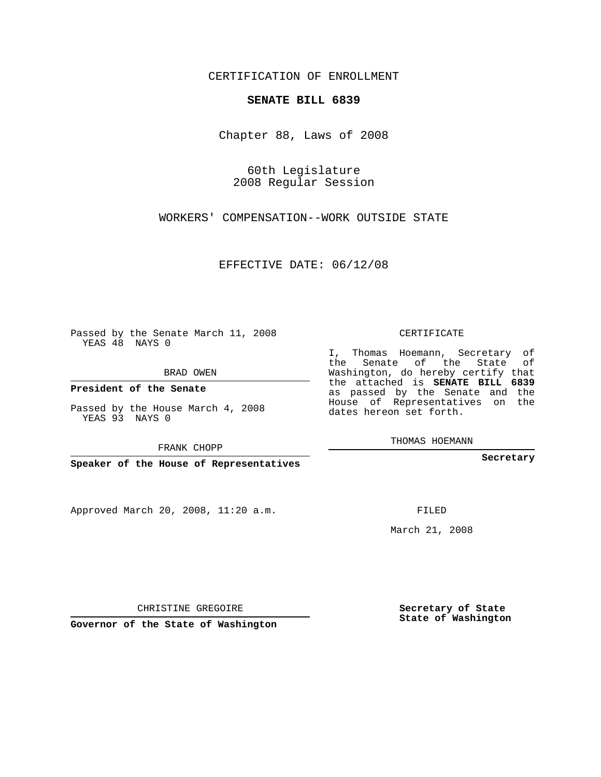CERTIFICATION OF ENROLLMENT

#### **SENATE BILL 6839**

Chapter 88, Laws of 2008

60th Legislature 2008 Regular Session

WORKERS' COMPENSATION--WORK OUTSIDE STATE

EFFECTIVE DATE: 06/12/08

Passed by the Senate March 11, 2008 YEAS 48 NAYS 0

BRAD OWEN

**President of the Senate**

Passed by the House March 4, 2008 YEAS 93 NAYS 0

FRANK CHOPP

**Speaker of the House of Representatives**

Approved March 20, 2008, 11:20 a.m.

CERTIFICATE

I, Thomas Hoemann, Secretary of the Senate of the State of Washington, do hereby certify that the attached is **SENATE BILL 6839** as passed by the Senate and the House of Representatives on the dates hereon set forth.

THOMAS HOEMANN

**Secretary**

FILED

March 21, 2008

**Secretary of State State of Washington**

CHRISTINE GREGOIRE

**Governor of the State of Washington**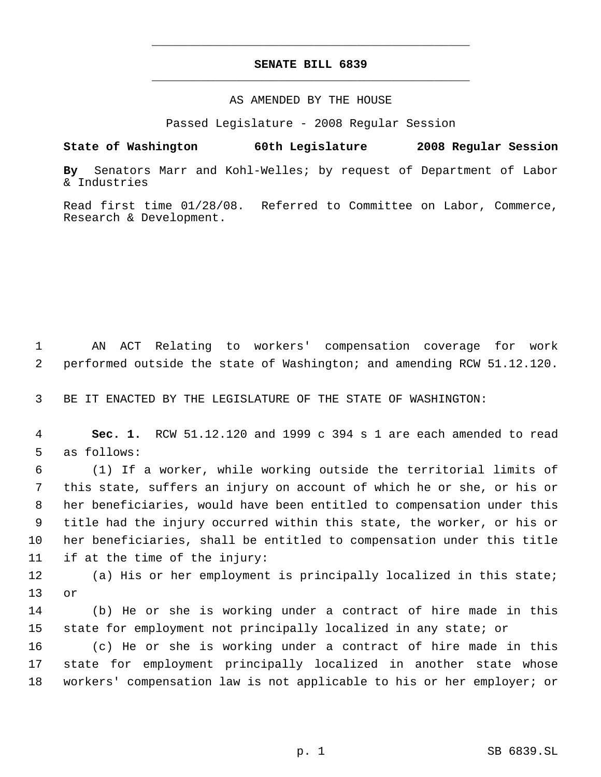# **SENATE BILL 6839** \_\_\_\_\_\_\_\_\_\_\_\_\_\_\_\_\_\_\_\_\_\_\_\_\_\_\_\_\_\_\_\_\_\_\_\_\_\_\_\_\_\_\_\_\_

\_\_\_\_\_\_\_\_\_\_\_\_\_\_\_\_\_\_\_\_\_\_\_\_\_\_\_\_\_\_\_\_\_\_\_\_\_\_\_\_\_\_\_\_\_

### AS AMENDED BY THE HOUSE

Passed Legislature - 2008 Regular Session

## **State of Washington 60th Legislature 2008 Regular Session**

**By** Senators Marr and Kohl-Welles; by request of Department of Labor & Industries

Read first time 01/28/08. Referred to Committee on Labor, Commerce, Research & Development.

 AN ACT Relating to workers' compensation coverage for work performed outside the state of Washington; and amending RCW 51.12.120.

BE IT ENACTED BY THE LEGISLATURE OF THE STATE OF WASHINGTON:

 **Sec. 1.** RCW 51.12.120 and 1999 c 394 s 1 are each amended to read as follows:

 (1) If a worker, while working outside the territorial limits of this state, suffers an injury on account of which he or she, or his or her beneficiaries, would have been entitled to compensation under this title had the injury occurred within this state, the worker, or his or her beneficiaries, shall be entitled to compensation under this title if at the time of the injury:

 (a) His or her employment is principally localized in this state; or

 (b) He or she is working under a contract of hire made in this state for employment not principally localized in any state; or

 (c) He or she is working under a contract of hire made in this state for employment principally localized in another state whose workers' compensation law is not applicable to his or her employer; or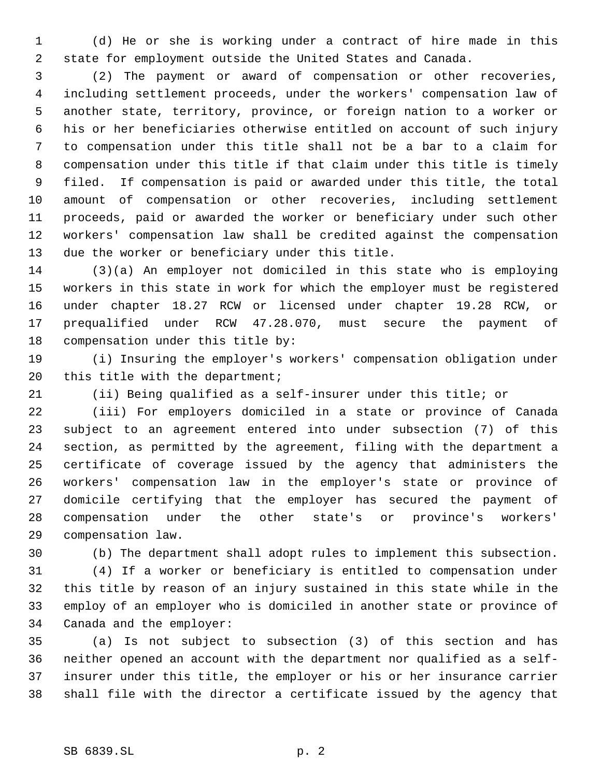(d) He or she is working under a contract of hire made in this state for employment outside the United States and Canada.

 (2) The payment or award of compensation or other recoveries, including settlement proceeds, under the workers' compensation law of another state, territory, province, or foreign nation to a worker or his or her beneficiaries otherwise entitled on account of such injury to compensation under this title shall not be a bar to a claim for compensation under this title if that claim under this title is timely filed. If compensation is paid or awarded under this title, the total amount of compensation or other recoveries, including settlement proceeds, paid or awarded the worker or beneficiary under such other workers' compensation law shall be credited against the compensation due the worker or beneficiary under this title.

 (3)(a) An employer not domiciled in this state who is employing workers in this state in work for which the employer must be registered under chapter 18.27 RCW or licensed under chapter 19.28 RCW, or prequalified under RCW 47.28.070, must secure the payment of compensation under this title by:

 (i) Insuring the employer's workers' compensation obligation under this title with the department;

(ii) Being qualified as a self-insurer under this title; or

 (iii) For employers domiciled in a state or province of Canada subject to an agreement entered into under subsection (7) of this section, as permitted by the agreement, filing with the department a certificate of coverage issued by the agency that administers the workers' compensation law in the employer's state or province of domicile certifying that the employer has secured the payment of compensation under the other state's or province's workers' compensation law.

(b) The department shall adopt rules to implement this subsection.

 (4) If a worker or beneficiary is entitled to compensation under this title by reason of an injury sustained in this state while in the employ of an employer who is domiciled in another state or province of Canada and the employer:

 (a) Is not subject to subsection (3) of this section and has neither opened an account with the department nor qualified as a self- insurer under this title, the employer or his or her insurance carrier shall file with the director a certificate issued by the agency that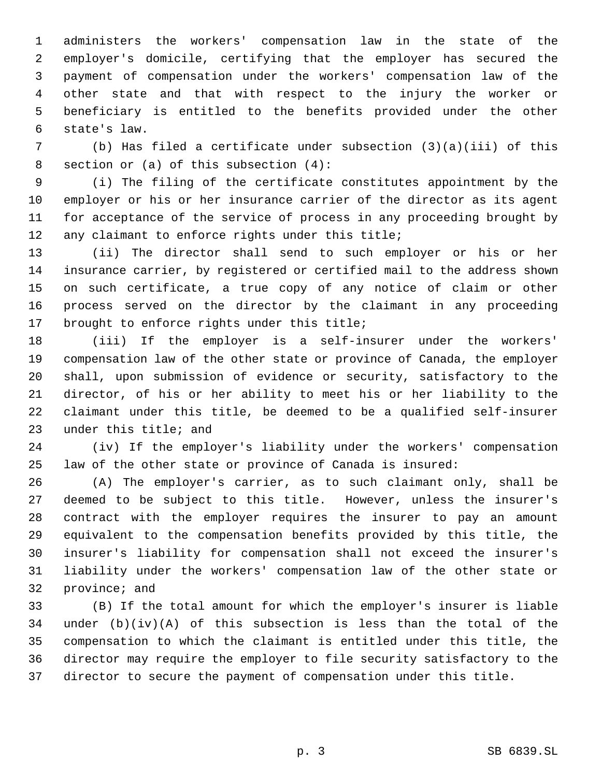administers the workers' compensation law in the state of the employer's domicile, certifying that the employer has secured the payment of compensation under the workers' compensation law of the other state and that with respect to the injury the worker or beneficiary is entitled to the benefits provided under the other state's law.

 (b) Has filed a certificate under subsection (3)(a)(iii) of this section or (a) of this subsection (4):

 (i) The filing of the certificate constitutes appointment by the employer or his or her insurance carrier of the director as its agent for acceptance of the service of process in any proceeding brought by any claimant to enforce rights under this title;

 (ii) The director shall send to such employer or his or her insurance carrier, by registered or certified mail to the address shown on such certificate, a true copy of any notice of claim or other process served on the director by the claimant in any proceeding brought to enforce rights under this title;

 (iii) If the employer is a self-insurer under the workers' compensation law of the other state or province of Canada, the employer shall, upon submission of evidence or security, satisfactory to the director, of his or her ability to meet his or her liability to the claimant under this title, be deemed to be a qualified self-insurer under this title; and

 (iv) If the employer's liability under the workers' compensation law of the other state or province of Canada is insured:

 (A) The employer's carrier, as to such claimant only, shall be deemed to be subject to this title. However, unless the insurer's contract with the employer requires the insurer to pay an amount equivalent to the compensation benefits provided by this title, the insurer's liability for compensation shall not exceed the insurer's liability under the workers' compensation law of the other state or province; and

 (B) If the total amount for which the employer's insurer is liable 34 under  $(b)(iv)(A)$  of this subsection is less than the total of the compensation to which the claimant is entitled under this title, the director may require the employer to file security satisfactory to the director to secure the payment of compensation under this title.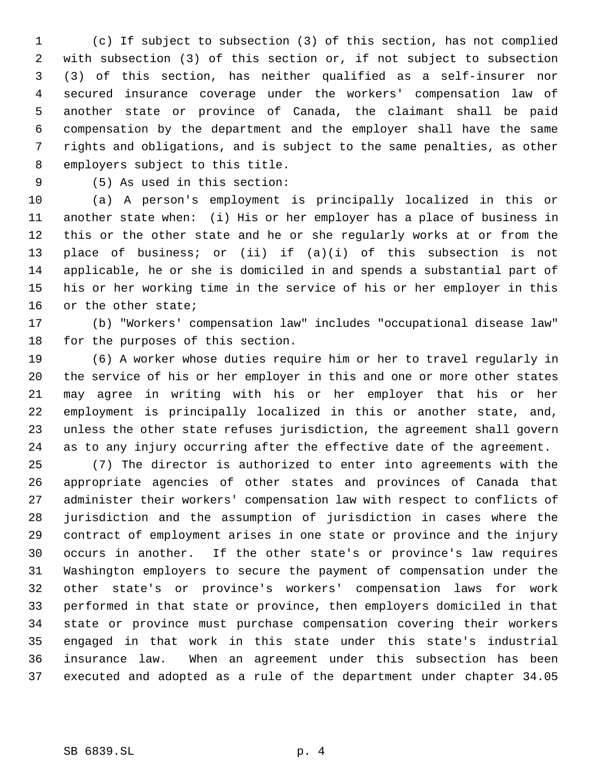(c) If subject to subsection (3) of this section, has not complied with subsection (3) of this section or, if not subject to subsection (3) of this section, has neither qualified as a self-insurer nor secured insurance coverage under the workers' compensation law of another state or province of Canada, the claimant shall be paid compensation by the department and the employer shall have the same rights and obligations, and is subject to the same penalties, as other employers subject to this title.

(5) As used in this section:

 (a) A person's employment is principally localized in this or another state when: (i) His or her employer has a place of business in this or the other state and he or she regularly works at or from the place of business; or (ii) if (a)(i) of this subsection is not applicable, he or she is domiciled in and spends a substantial part of his or her working time in the service of his or her employer in this or the other state;

 (b) "Workers' compensation law" includes "occupational disease law" for the purposes of this section.

 (6) A worker whose duties require him or her to travel regularly in the service of his or her employer in this and one or more other states may agree in writing with his or her employer that his or her employment is principally localized in this or another state, and, unless the other state refuses jurisdiction, the agreement shall govern as to any injury occurring after the effective date of the agreement.

 (7) The director is authorized to enter into agreements with the appropriate agencies of other states and provinces of Canada that administer their workers' compensation law with respect to conflicts of jurisdiction and the assumption of jurisdiction in cases where the contract of employment arises in one state or province and the injury occurs in another. If the other state's or province's law requires Washington employers to secure the payment of compensation under the other state's or province's workers' compensation laws for work performed in that state or province, then employers domiciled in that state or province must purchase compensation covering their workers engaged in that work in this state under this state's industrial insurance law. When an agreement under this subsection has been executed and adopted as a rule of the department under chapter 34.05